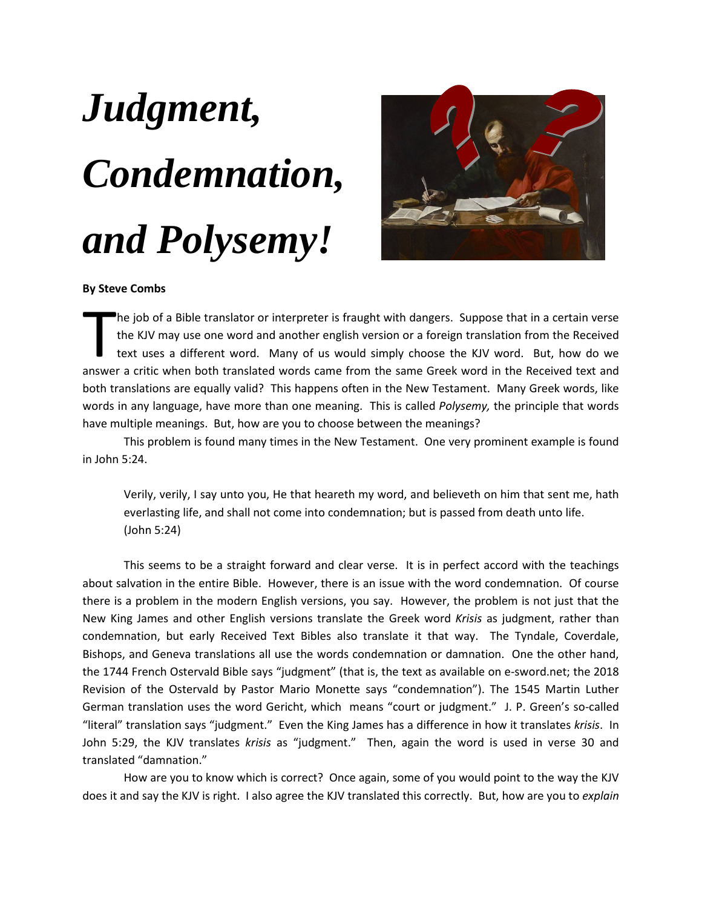## *Judgment, Condemnation, and Polysemy!*



## **By Steve Combs**

he job of a Bible translator or interpreter is fraught with dangers. Suppose that in a certain verse the KJV may use one word and another english version or a foreign translation from the Received text uses a different word. Many of us would simply choose the KJV word. But, how do we The job of a Bible translator or interpreter is fraught with dangers. Suppose that in a certain verse the KJV may use one word and another english version or a foreign translation from the Received text uses a different wo both translations are equally valid? This happens often in the New Testament. Many Greek words, like words in any language, have more than one meaning. This is called *Polysemy,* the principle that words have multiple meanings. But, how are you to choose between the meanings?

This problem is found many times in the New Testament. One very prominent example is found in John 5:24.

Verily, verily, I say unto you, He that heareth my word, and believeth on him that sent me, hath everlasting life, and shall not come into condemnation; but is passed from death unto life. (John 5:24)

This seems to be a straight forward and clear verse. It is in perfect accord with the teachings about salvation in the entire Bible. However, there is an issue with the word condemnation. Of course there is a problem in the modern English versions, you say. However, the problem is not just that the New King James and other English versions translate the Greek word *Krisis* as judgment, rather than condemnation, but early Received Text Bibles also translate it that way. The Tyndale, Coverdale, Bishops, and Geneva translations all use the words condemnation or damnation. One the other hand, the 1744 French Ostervald Bible says "judgment" (that is, the text as available on e-sword.net; the 2018 Revision of the Ostervald by Pastor Mario Monette says "condemnation"). The 1545 Martin Luther German translation uses the word Gericht, which means "court or judgment." J. P. Green's so-called "literal" translation says "judgment." Even the King James has a difference in how it translates *krisis*. In John 5:29, the KJV translates *krisis* as "judgment." Then, again the word is used in verse 30 and translated "damnation."

How are you to know which is correct? Once again, some of you would point to the way the KJV does it and say the KJV is right. I also agree the KJV translated this correctly. But, how are you to *explain*